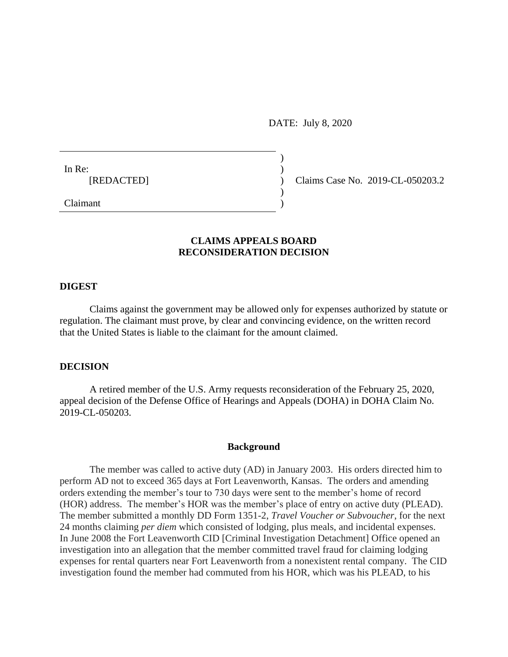DATE: July 8, 2020

)

 $\overline{)}$ 

In Re:  $\qquad \qquad$ )

[REDACTED] ) Claims Case No. 2019-CL-050203.2

Claimant )

### **CLAIMS APPEALS BOARD RECONSIDERATION DECISION**

#### **DIGEST**

Claims against the government may be allowed only for expenses authorized by statute or regulation. The claimant must prove, by clear and convincing evidence, on the written record that the United States is liable to the claimant for the amount claimed.

#### **DECISION**

A retired member of the U.S. Army requests reconsideration of the February 25, 2020, appeal decision of the Defense Office of Hearings and Appeals (DOHA) in DOHA Claim No. 2019-CL-050203.

#### **Background**

The member was called to active duty (AD) in January 2003. His orders directed him to perform AD not to exceed 365 days at Fort Leavenworth, Kansas. The orders and amending orders extending the member's tour to 730 days were sent to the member's home of record (HOR) address. The member's HOR was the member's place of entry on active duty (PLEAD). The member submitted a monthly DD Form 1351-2, *Travel Voucher or Subvoucher*, for the next 24 months claiming *per diem* which consisted of lodging, plus meals, and incidental expenses. In June 2008 the Fort Leavenworth CID [Criminal Investigation Detachment] Office opened an investigation into an allegation that the member committed travel fraud for claiming lodging expenses for rental quarters near Fort Leavenworth from a nonexistent rental company. The CID investigation found the member had commuted from his HOR, which was his PLEAD, to his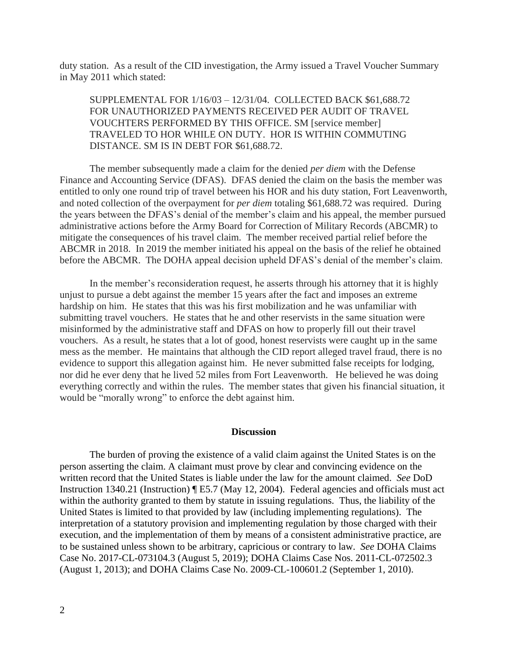duty station. As a result of the CID investigation, the Army issued a Travel Voucher Summary in May 2011 which stated:

SUPPLEMENTAL FOR 1/16/03 – 12/31/04. COLLECTED BACK \$61,688.72 FOR UNAUTHORIZED PAYMENTS RECEIVED PER AUDIT OF TRAVEL VOUCHTERS PERFORMED BY THIS OFFICE. SM [service member] TRAVELED TO HOR WHILE ON DUTY. HOR IS WITHIN COMMUTING DISTANCE. SM IS IN DEBT FOR \$61,688.72.

The member subsequently made a claim for the denied *per diem* with the Defense Finance and Accounting Service (DFAS). DFAS denied the claim on the basis the member was entitled to only one round trip of travel between his HOR and his duty station, Fort Leavenworth, and noted collection of the overpayment for *per diem* totaling \$61,688.72 was required. During the years between the DFAS's denial of the member's claim and his appeal, the member pursued administrative actions before the Army Board for Correction of Military Records (ABCMR) to mitigate the consequences of his travel claim. The member received partial relief before the ABCMR in 2018. In 2019 the member initiated his appeal on the basis of the relief he obtained before the ABCMR. The DOHA appeal decision upheld DFAS's denial of the member's claim.

In the member's reconsideration request, he asserts through his attorney that it is highly unjust to pursue a debt against the member 15 years after the fact and imposes an extreme hardship on him. He states that this was his first mobilization and he was unfamiliar with submitting travel vouchers. He states that he and other reservists in the same situation were misinformed by the administrative staff and DFAS on how to properly fill out their travel vouchers. As a result, he states that a lot of good, honest reservists were caught up in the same mess as the member. He maintains that although the CID report alleged travel fraud, there is no evidence to support this allegation against him. He never submitted false receipts for lodging, nor did he ever deny that he lived 52 miles from Fort Leavenworth. He believed he was doing everything correctly and within the rules. The member states that given his financial situation, it would be "morally wrong" to enforce the debt against him.

#### **Discussion**

The burden of proving the existence of a valid claim against the United States is on the person asserting the claim. A claimant must prove by clear and convincing evidence on the written record that the United States is liable under the law for the amount claimed. *See* DoD Instruction 1340.21 (Instruction) ¶ E5.7 (May 12, 2004). Federal agencies and officials must act within the authority granted to them by statute in issuing regulations. Thus, the liability of the United States is limited to that provided by law (including implementing regulations). The interpretation of a statutory provision and implementing regulation by those charged with their execution, and the implementation of them by means of a consistent administrative practice, are to be sustained unless shown to be arbitrary, capricious or contrary to law. *See* DOHA Claims Case No. 2017-CL-073104.3 (August 5, 2019); DOHA Claims Case Nos. 2011-CL-072502.3 (August 1, 2013); and DOHA Claims Case No. 2009-CL-100601.2 (September 1, 2010).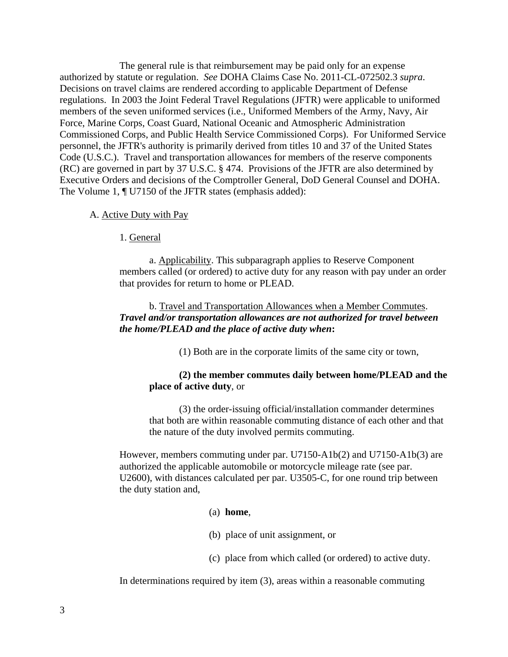The general rule is that reimbursement may be paid only for an expense authorized by statute or regulation. *See* DOHA Claims Case No. 2011-CL-072502.3 *supra*. Decisions on travel claims are rendered according to applicable Department of Defense regulations. In 2003 the Joint Federal Travel Regulations (JFTR) were applicable to uniformed members of the seven uniformed services (i.e., Uniformed Members of the Army, Navy, Air Force, Marine Corps, Coast Guard, National Oceanic and Atmospheric Administration Commissioned Corps, and Public Health Service Commissioned Corps). For Uniformed Service personnel, the JFTR's authority is primarily derived from titles 10 and 37 of the United States Code (U.S.C.). Travel and transportation allowances for members of the reserve components (RC) are governed in part by 37 U.S.C. § 474. Provisions of the JFTR are also determined by Executive Orders and decisions of the Comptroller General, DoD General Counsel and DOHA. The Volume 1, ¶ U7150 of the JFTR states (emphasis added):

- A. Active Duty with Pay
	- 1. General

a. Applicability. This subparagraph applies to Reserve Component members called (or ordered) to active duty for any reason with pay under an order that provides for return to home or PLEAD.

# b. Travel and Transportation Allowances when a Member Commutes. *Travel and/or transportation allowances are not authorized for travel between the home/PLEAD and the place of active duty when***:**

(1) Both are in the corporate limits of the same city or town,

## **(2) the member commutes daily between home/PLEAD and the place of active duty**, or

(3) the order-issuing official/installation commander determines that both are within reasonable commuting distance of each other and that the nature of the duty involved permits commuting.

However, members commuting under par. U7150-A1b(2) and U7150-A1b(3) are authorized the applicable automobile or motorcycle mileage rate (see par. U2600), with distances calculated per par. U3505-C, for one round trip between the duty station and,

### (a) **home**,

- (b) place of unit assignment, or
- (c) place from which called (or ordered) to active duty.

In determinations required by item (3), areas within a reasonable commuting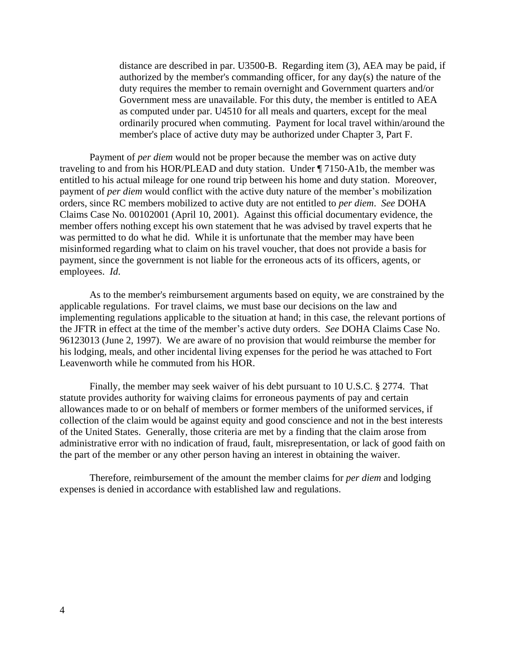distance are described in par. U3500-B. Regarding item (3), AEA may be paid, if authorized by the member's commanding officer, for any day(s) the nature of the duty requires the member to remain overnight and Government quarters and/or Government mess are unavailable. For this duty, the member is entitled to AEA as computed under par. U4510 for all meals and quarters, except for the meal ordinarily procured when commuting. Payment for local travel within/around the member's place of active duty may be authorized under Chapter 3, Part F.

Payment of *per diem* would not be proper because the member was on active duty traveling to and from his HOR/PLEAD and duty station. Under ¶ 7150-A1b, the member was entitled to his actual mileage for one round trip between his home and duty station. Moreover, payment of *per diem* would conflict with the active duty nature of the member's mobilization orders, since RC members mobilized to active duty are not entitled to *per diem*. *See* DOHA Claims Case No. 00102001 (April 10, 2001). Against this official documentary evidence, the member offers nothing except his own statement that he was advised by travel experts that he was permitted to do what he did. While it is unfortunate that the member may have been misinformed regarding what to claim on his travel voucher, that does not provide a basis for payment, since the government is not liable for the erroneous acts of its officers, agents, or employees. *Id*.

As to the member's reimbursement arguments based on equity, we are constrained by the applicable regulations. For travel claims, we must base our decisions on the law and implementing regulations applicable to the situation at hand; in this case, the relevant portions of the JFTR in effect at the time of the member's active duty orders. *See* DOHA Claims Case No. 96123013 (June 2, 1997). We are aware of no provision that would reimburse the member for his lodging, meals, and other incidental living expenses for the period he was attached to Fort Leavenworth while he commuted from his HOR.

Finally, the member may seek waiver of his debt pursuant to 10 U.S.C. § 2774. That statute provides authority for waiving claims for erroneous payments of pay and certain allowances made to or on behalf of members or former members of the uniformed services, if collection of the claim would be against equity and good conscience and not in the best interests of the United States. Generally, those criteria are met by a finding that the claim arose from administrative error with no indication of fraud, fault, misrepresentation, or lack of good faith on the part of the member or any other person having an interest in obtaining the waiver.

Therefore, reimbursement of the amount the member claims for *per diem* and lodging expenses is denied in accordance with established law and regulations.